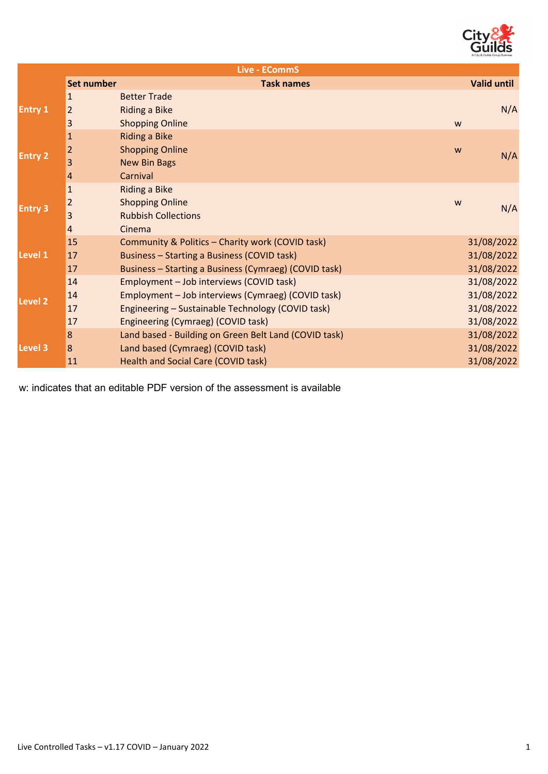

| <b>Live - ECommS</b> |                   |                                                       |                    |  |  |
|----------------------|-------------------|-------------------------------------------------------|--------------------|--|--|
|                      | <b>Set number</b> | <b>Task names</b>                                     | <b>Valid until</b> |  |  |
| <b>Entry 1</b>       | 1                 | <b>Better Trade</b>                                   |                    |  |  |
|                      | $\overline{2}$    | <b>Riding a Bike</b>                                  | N/A                |  |  |
|                      | 3                 | <b>Shopping Online</b><br>W                           |                    |  |  |
| <b>Entry 2</b>       | $\mathbf{1}$      | <b>Riding a Bike</b>                                  |                    |  |  |
|                      | $\overline{2}$    | <b>Shopping Online</b><br>W                           | N/A                |  |  |
|                      | 3                 | <b>New Bin Bags</b>                                   |                    |  |  |
|                      | 4                 | Carnival                                              |                    |  |  |
| <b>Entry 3</b>       | $\mathbf{1}$      | <b>Riding a Bike</b>                                  |                    |  |  |
|                      | $\overline{2}$    | <b>Shopping Online</b><br>W                           | N/A                |  |  |
|                      | 3                 | <b>Rubbish Collections</b>                            |                    |  |  |
|                      | 4                 | Cinema                                                |                    |  |  |
|                      | 15                | Community & Politics - Charity work (COVID task)      | 31/08/2022         |  |  |
| Level 1              | 17                | Business - Starting a Business (COVID task)           | 31/08/2022         |  |  |
|                      | 17                | Business - Starting a Business (Cymraeg) (COVID task) | 31/08/2022         |  |  |
| Level <sub>2</sub>   | 14                | Employment - Job interviews (COVID task)              | 31/08/2022         |  |  |
|                      | 14                | Employment - Job interviews (Cymraeg) (COVID task)    | 31/08/2022         |  |  |
|                      | 17                | Engineering - Sustainable Technology (COVID task)     | 31/08/2022         |  |  |
|                      | 17                | Engineering (Cymraeg) (COVID task)                    | 31/08/2022         |  |  |
| Level 3              | 8                 | Land based - Building on Green Belt Land (COVID task) | 31/08/2022         |  |  |
|                      | 8                 | Land based (Cymraeg) (COVID task)                     | 31/08/2022         |  |  |
|                      | 11                | <b>Health and Social Care (COVID task)</b>            | 31/08/2022         |  |  |

w: indicates that an editable PDF version of the assessment is available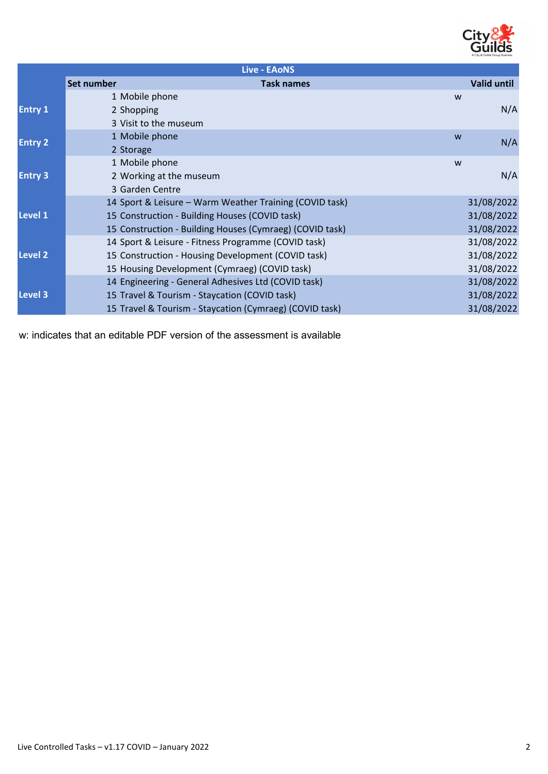

| <b>Live - EAONS</b> |                 |                                                          |                    |  |  |
|---------------------|-----------------|----------------------------------------------------------|--------------------|--|--|
|                     | Set number      | <b>Task names</b>                                        | <b>Valid until</b> |  |  |
| <b>Entry 1</b>      | 1 Mobile phone  | W                                                        |                    |  |  |
|                     | 2 Shopping      |                                                          | N/A                |  |  |
|                     |                 | 3 Visit to the museum                                    |                    |  |  |
| <b>Entry 2</b>      | 1 Mobile phone  | W                                                        | N/A                |  |  |
|                     | 2 Storage       |                                                          |                    |  |  |
| <b>Entry 3</b>      | 1 Mobile phone  | W                                                        |                    |  |  |
|                     |                 | 2 Working at the museum                                  | N/A                |  |  |
|                     | 3 Garden Centre |                                                          |                    |  |  |
| Level 1             |                 | 14 Sport & Leisure - Warm Weather Training (COVID task)  | 31/08/2022         |  |  |
|                     |                 | 15 Construction - Building Houses (COVID task)           | 31/08/2022         |  |  |
|                     |                 | 15 Construction - Building Houses (Cymraeg) (COVID task) | 31/08/2022         |  |  |
| Level 2             |                 | 14 Sport & Leisure - Fitness Programme (COVID task)      | 31/08/2022         |  |  |
|                     |                 | 15 Construction - Housing Development (COVID task)       | 31/08/2022         |  |  |
|                     |                 | 15 Housing Development (Cymraeg) (COVID task)            | 31/08/2022         |  |  |
| <b>Level 3</b>      |                 | 14 Engineering - General Adhesives Ltd (COVID task)      | 31/08/2022         |  |  |
|                     |                 | 15 Travel & Tourism - Staycation (COVID task)            | 31/08/2022         |  |  |
|                     |                 | 15 Travel & Tourism - Staycation (Cymraeg) (COVID task)  | 31/08/2022         |  |  |

w: indicates that an editable PDF version of the assessment is available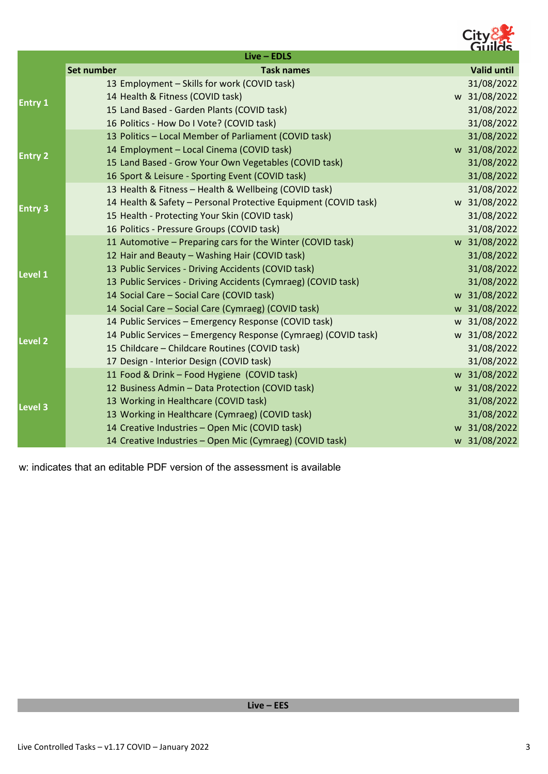

|                |                   | $Live - EDLS$                                                   |                    |
|----------------|-------------------|-----------------------------------------------------------------|--------------------|
|                | <b>Set number</b> | <b>Task names</b>                                               | <b>Valid until</b> |
| <b>Entry 1</b> |                   | 13 Employment - Skills for work (COVID task)                    | 31/08/2022         |
|                |                   | 14 Health & Fitness (COVID task)                                | w 31/08/2022       |
|                |                   | 15 Land Based - Garden Plants (COVID task)                      | 31/08/2022         |
|                |                   | 16 Politics - How Do I Vote? (COVID task)                       | 31/08/2022         |
| <b>Entry 2</b> |                   | 13 Politics - Local Member of Parliament (COVID task)           | 31/08/2022         |
|                |                   | 14 Employment - Local Cinema (COVID task)                       | w 31/08/2022       |
|                |                   | 15 Land Based - Grow Your Own Vegetables (COVID task)           | 31/08/2022         |
|                |                   | 16 Sport & Leisure - Sporting Event (COVID task)                | 31/08/2022         |
| <b>Entry 3</b> |                   | 13 Health & Fitness - Health & Wellbeing (COVID task)           | 31/08/2022         |
|                |                   | 14 Health & Safety - Personal Protective Equipment (COVID task) | w 31/08/2022       |
|                |                   | 15 Health - Protecting Your Skin (COVID task)                   | 31/08/2022         |
|                |                   | 16 Politics - Pressure Groups (COVID task)                      | 31/08/2022         |
|                |                   | 11 Automotive - Preparing cars for the Winter (COVID task)      | w 31/08/2022       |
| Level 1        |                   | 12 Hair and Beauty - Washing Hair (COVID task)                  | 31/08/2022         |
|                |                   | 13 Public Services - Driving Accidents (COVID task)             | 31/08/2022         |
|                |                   | 13 Public Services - Driving Accidents (Cymraeg) (COVID task)   | 31/08/2022         |
|                |                   | 14 Social Care - Social Care (COVID task)                       | w 31/08/2022       |
|                |                   | 14 Social Care - Social Care (Cymraeg) (COVID task)             | w 31/08/2022       |
|                |                   | 14 Public Services - Emergency Response (COVID task)            | w 31/08/2022       |
| <b>Level 2</b> |                   | 14 Public Services - Emergency Response (Cymraeg) (COVID task)  | w 31/08/2022       |
|                |                   | 15 Childcare - Childcare Routines (COVID task)                  | 31/08/2022         |
|                |                   | 17 Design - Interior Design (COVID task)                        | 31/08/2022         |
| <b>Level 3</b> |                   | 11 Food & Drink - Food Hygiene (COVID task)                     | w 31/08/2022       |
|                |                   | 12 Business Admin - Data Protection (COVID task)                | w 31/08/2022       |
|                |                   | 13 Working in Healthcare (COVID task)                           | 31/08/2022         |
|                |                   | 13 Working in Healthcare (Cymraeg) (COVID task)                 | 31/08/2022         |
|                |                   | 14 Creative Industries - Open Mic (COVID task)                  | w 31/08/2022       |
|                |                   | 14 Creative Industries - Open Mic (Cymraeg) (COVID task)        | w 31/08/2022       |

w: indicates that an editable PDF version of the assessment is available